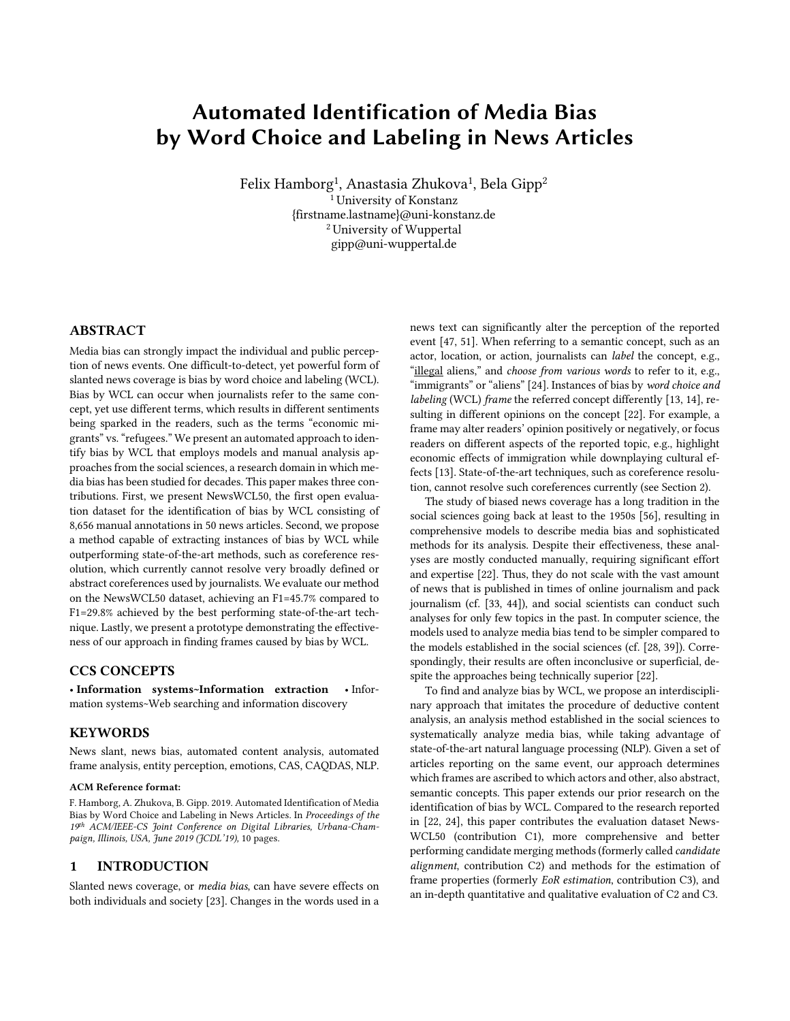# Automated Identification of Media Bias by Word Choice and Labeling in News Articles

Felix Hamborg<sup>1</sup>, Anastasia Zhukova<sup>1</sup>, Bela Gipp<sup>2</sup>  $1$ University of Konstanz {firstname.lastname}@uni-konstanz.de 2 University of Wuppertal gipp@uni-wuppertal.de

# ABSTRACT

Media bias can strongly impact the individual and public perception of news events. One difficult-to-detect, yet powerful form of slanted news coverage is bias by word choice and labeling (WCL). Bias by WCL can occur when journalists refer to the same concept, yet use different terms, which results in different sentiments being sparked in the readers, such as the terms "economic migrants" vs."refugees." We present an automated approach to identify bias by WCL that employs models and manual analysis approaches from the social sciences, a research domain in which media bias has been studied for decades. This paper makes three contributions. First, we present NewsWCL50, the first open evaluation dataset for the identification of bias by WCL consisting of 8,656 manual annotations in 50 news articles. Second, we propose a method capable of extracting instances of bias by WCL while outperforming state-of-the-art methods, such as coreference resolution, which currently cannot resolve very broadly defined or abstract coreferences used by journalists. We evaluate our method on the NewsWCL50 dataset, achieving an F1=45.7% compared to F1=29.8% achieved by the best performing state-of-the-art technique. Lastly, we present a prototype demonstrating the effectiveness of our approach in finding frames caused by bias by WCL.

#### CCS CONCEPTS

• Information systems~Information extraction • Information systems~Web searching and information discovery

#### KEYWORDS

News slant, news bias, automated content analysis, automated frame analysis, entity perception, emotions, CAS, CAQDAS, NLP.

#### ACM Reference format:

F. Hamborg, A. Zhukova, B. Gipp. 2019. Automated Identification of Media Bias by Word Choice and Labeling in News Articles. In *Proceedings of the 19th ACM/IEEE-CS Joint Conference on Digital Libraries, Urbana-Champaign, Illinois, USA, June 2019 (JCDL'19),* 10 pages.

#### 1 INTRODUCTION

Slanted news coverage, or *media bias*, can have severe effects on both individuals and society [23]. Changes in the words used in a news text can significantly alter the perception of the reported event [47, 51]. When referring to a semantic concept, such as an actor, location, or action, journalists can *label* the concept, e.g., "illegal aliens," and *choose from various words* to refer to it, e.g., "immigrants" or "aliens" [24]. Instances of bias by *word choice and labeling* (WCL) *frame* the referred concept differently [13, 14], resulting in different opinions on the concept [22]. For example, a frame may alter readers' opinion positively or negatively, or focus readers on different aspects of the reported topic, e.g., highlight economic effects of immigration while downplaying cultural effects [13]. State-of-the-art techniques, such as coreference resolution, cannot resolve such coreferences currently (see Section 2).

The study of biased news coverage has a long tradition in the social sciences going back at least to the 1950s [56], resulting in comprehensive models to describe media bias and sophisticated methods for its analysis. Despite their effectiveness, these analyses are mostly conducted manually, requiring significant effort and expertise [22]. Thus, they do not scale with the vast amount of news that is published in times of online journalism and pack journalism (cf. [33, 44]), and social scientists can conduct such analyses for only few topics in the past. In computer science, the models used to analyze media bias tend to be simpler compared to the models established in the social sciences (cf. [28, 39]). Correspondingly, their results are often inconclusive or superficial, despite the approaches being technically superior [22].

To find and analyze bias by WCL, we propose an interdisciplinary approach that imitates the procedure of deductive content analysis, an analysis method established in the social sciences to systematically analyze media bias, while taking advantage of state-of-the-art natural language processing (NLP). Given a set of articles reporting on the same event, our approach determines which frames are ascribed to which actors and other, also abstract, semantic concepts. This paper extends our prior research on the identification of bias by WCL. Compared to the research reported in [22, 24], this paper contributes the evaluation dataset News-WCL50 (contribution C1), more comprehensive and better performing candidate merging methods (formerly called *candidate alignment*, contribution C2) and methods for the estimation of frame properties (formerly *EoR estimation*, contribution C3), and an in-depth quantitative and qualitative evaluation of C2 and C3.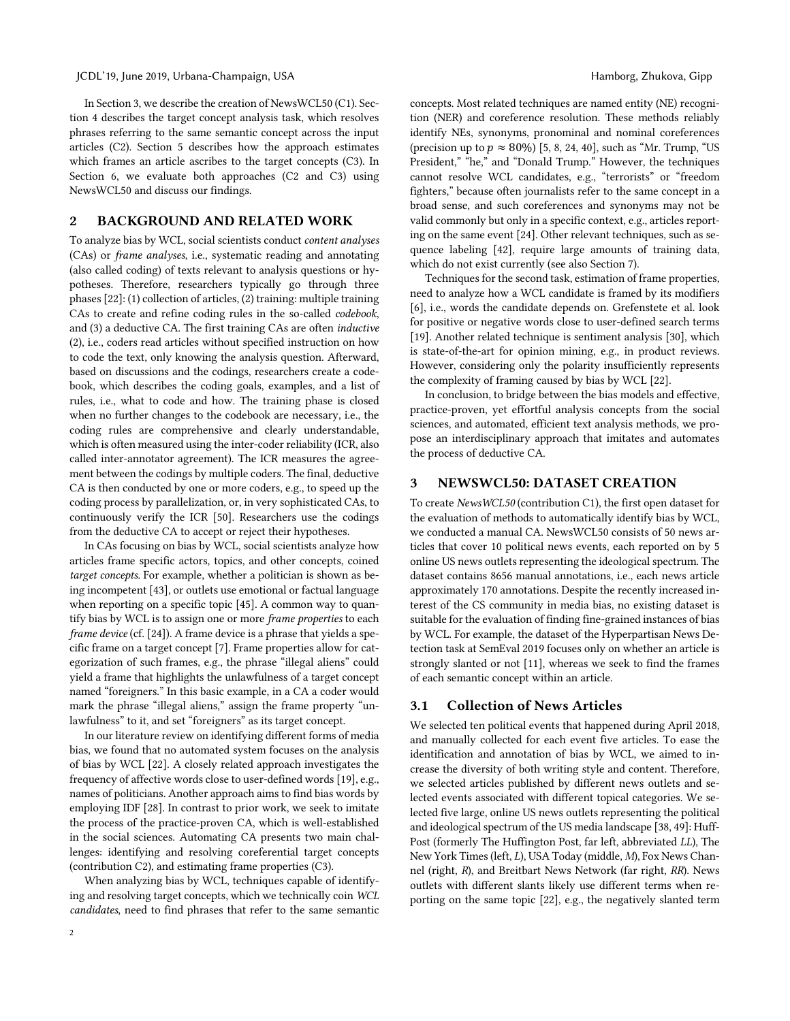#### JCDL'19, June 2019, Urbana-Champaign, USA Hamborg, Zhukova, Gipp

In Section 3, we describe the creation of NewsWCL50 (C1). Section 4 describes the target concept analysis task, which resolves phrases referring to the same semantic concept across the input articles (C2). Section 5 describes how the approach estimates which frames an article ascribes to the target concepts (C3). In Section 6, we evaluate both approaches (C2 and C3) using NewsWCL50 and discuss our findings.

## 2 BACKGROUND AND RELATED WORK

To analyze bias by WCL, social scientists conduct *content analyses* (CAs) or *frame analyses*, i.e., systematic reading and annotating (also called coding) of texts relevant to analysis questions or hypotheses. Therefore, researchers typically go through three phases [22]: (1) collection of articles, (2) training: multiple training CAs to create and refine coding rules in the so-called *codebook*, and (3) a deductive CA. The first training CAs are often *inductive* (2), i.e., coders read articles without specified instruction on how to code the text, only knowing the analysis question. Afterward, based on discussions and the codings, researchers create a codebook, which describes the coding goals, examples, and a list of rules, i.e., what to code and how. The training phase is closed when no further changes to the codebook are necessary, i.e., the coding rules are comprehensive and clearly understandable, which is often measured using the inter-coder reliability (ICR, also called inter-annotator agreement). The ICR measures the agreement between the codings by multiple coders. The final, deductive CA is then conducted by one or more coders, e.g., to speed up the coding process by parallelization, or, in very sophisticated CAs, to continuously verify the ICR [50]. Researchers use the codings from the deductive CA to accept or reject their hypotheses.

In CAs focusing on bias by WCL, social scientists analyze how articles frame specific actors, topics, and other concepts, coined *target concepts.* For example, whether a politician is shown as being incompetent [43], or outlets use emotional or factual language when reporting on a specific topic [45]. A common way to quantify bias by WCL is to assign one or more *frame properties* to each *frame device* (cf. [24]). A frame device is a phrase that yields a specific frame on a target concept [7]. Frame properties allow for categorization of such frames, e.g., the phrase "illegal aliens" could yield a frame that highlights the unlawfulness of a target concept named "foreigners." In this basic example, in a CA a coder would mark the phrase "illegal aliens," assign the frame property "unlawfulness" to it, and set "foreigners" as its target concept.

In our literature review on identifying different forms of media bias, we found that no automated system focuses on the analysis of bias by WCL [22]. A closely related approach investigates the frequency of affective words close to user-defined words [19], e.g., names of politicians. Another approach aims to find bias words by employing IDF [28]. In contrast to prior work, we seek to imitate the process of the practice-proven CA, which is well-established in the social sciences. Automating CA presents two main challenges: identifying and resolving coreferential target concepts (contribution C2), and estimating frame properties (C3).

When analyzing bias by WCL, techniques capable of identifying and resolving target concepts, which we technically coin *WCL candidates*, need to find phrases that refer to the same semantic concepts. Most related techniques are named entity (NE) recognition (NER) and coreference resolution. These methods reliably identify NEs, synonyms, pronominal and nominal coreferences (precision up to  $p \approx 80\%$ ) [5, 8, 24, 40], such as "Mr. Trump, "US President," "he," and "Donald Trump." However, the techniques cannot resolve WCL candidates, e.g., "terrorists" or "freedom fighters," because often journalists refer to the same concept in a broad sense, and such coreferences and synonyms may not be valid commonly but only in a specific context, e.g., articles reporting on the same event [24]. Other relevant techniques, such as sequence labeling [42], require large amounts of training data, which do not exist currently (see also Section 7).

Techniques for the second task, estimation of frame properties, need to analyze how a WCL candidate is framed by its modifiers [6], i.e., words the candidate depends on. Grefenstete et al. look for positive or negative words close to user-defined search terms [19]. Another related technique is sentiment analysis [30], which is state-of-the-art for opinion mining, e.g., in product reviews. However, considering only the polarity insufficiently represents the complexity of framing caused by bias by WCL [22].

In conclusion, to bridge between the bias models and effective, practice-proven, yet effortful analysis concepts from the social sciences, and automated, efficient text analysis methods, we propose an interdisciplinary approach that imitates and automates the process of deductive CA.

# 3 NEWSWCL50: DATASET CREATION

To create *NewsWCL50* (contribution C1), the first open dataset for the evaluation of methods to automatically identify bias by WCL, we conducted a manual CA. NewsWCL50 consists of 50 news articles that cover 10 political news events, each reported on by 5 online US news outlets representing the ideological spectrum. The dataset contains 8656 manual annotations, i.e., each news article approximately 170 annotations. Despite the recently increased interest of the CS community in media bias, no existing dataset is suitable for the evaluation of finding fine-grained instances of bias by WCL. For example, the dataset of the Hyperpartisan News Detection task at SemEval 2019 focuses only on whether an article is strongly slanted or not [11], whereas we seek to find the frames of each semantic concept within an article.

## 3.1 Collection of News Articles

We selected ten political events that happened during April 2018, and manually collected for each event five articles. To ease the identification and annotation of bias by WCL, we aimed to increase the diversity of both writing style and content. Therefore, we selected articles published by different news outlets and selected events associated with different topical categories. We selected five large, online US news outlets representing the political and ideological spectrum of the US media landscape [38, 49]: Huff-Post (formerly The Huffington Post, far left, abbreviated *LL*), The New York Times (left, *L*), USA Today (middle, *M*), Fox News Channel (right, *R*), and Breitbart News Network (far right, *RR*). News outlets with different slants likely use different terms when reporting on the same topic [22], e.g., the negatively slanted term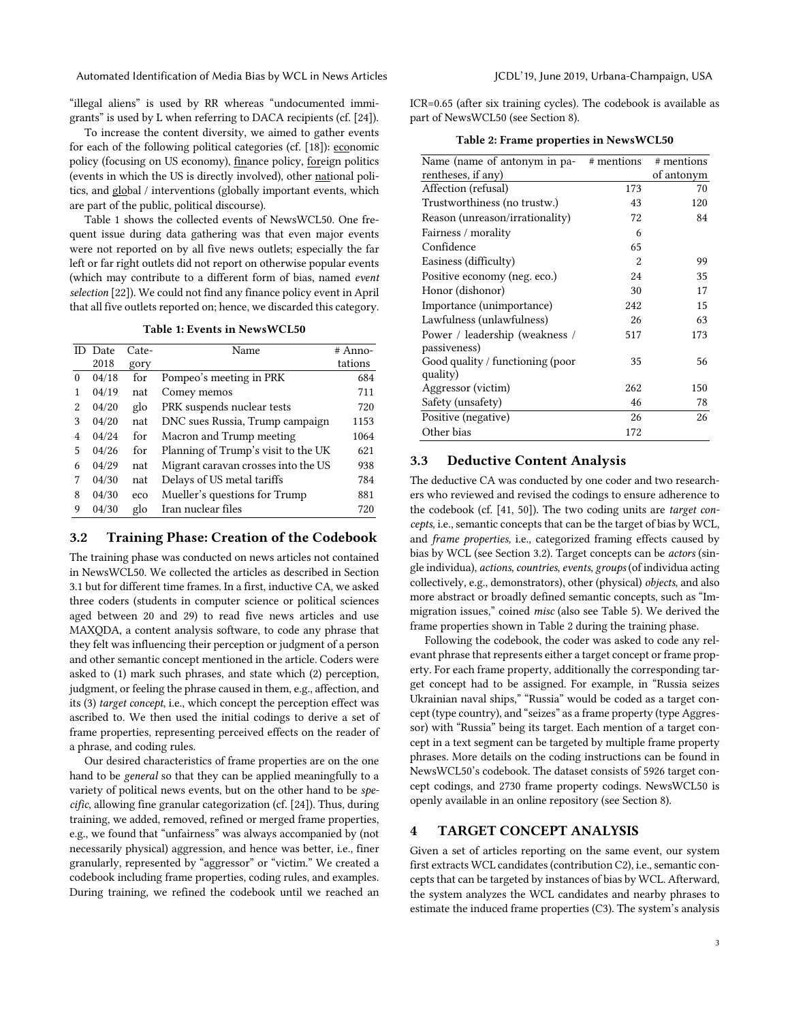"illegal aliens" is used by RR whereas "undocumented immigrants" is used by L when referring to DACA recipients (cf. [24]).

To increase the content diversity, we aimed to gather events for each of the following political categories (cf. [18]): economic policy (focusing on US economy), finance policy, foreign politics (events in which the US is directly involved), other national politics, and global / interventions (globally important events, which are part of the public, political discourse).

Table 1 shows the collected events of NewsWCL50. One frequent issue during data gathering was that even major events were not reported on by all five news outlets; especially the far left or far right outlets did not report on otherwise popular events (which may contribute to a different form of bias, named *event selection* [22]). We could not find any finance policy event in April that all five outlets reported on; hence, we discarded this category.

Table 1: Events in NewsWCL50

| ID. | Date  | Cate- | Name                                | # Anno- |
|-----|-------|-------|-------------------------------------|---------|
|     | 2018  | gory  |                                     | tations |
| 0   | 04/18 | for   | Pompeo's meeting in PRK             | 684     |
| 1   | 04/19 | nat   | Comey memos                         | 711     |
| 2   | 04/20 | glo   | PRK suspends nuclear tests          | 720     |
| 3   | 04/20 | nat   | DNC sues Russia, Trump campaign     | 1153    |
| 4   | 04/24 | for   | Macron and Trump meeting            | 1064    |
| 5   | 04/26 | for   | Planning of Trump's visit to the UK | 621     |
| 6   | 04/29 | nat   | Migrant caravan crosses into the US | 938     |
| 7   | 04/30 | nat   | Delays of US metal tariffs          | 784     |
| 8   | 04/30 | eco   | Mueller's questions for Trump       | 881     |
| 9   | 04/30 | glo   | Iran nuclear files                  | 720     |

## 3.2 Training Phase: Creation of the Codebook

The training phase was conducted on news articles not contained in NewsWCL50. We collected the articles as described in Section 3.1 but for different time frames. In a first, inductive CA, we asked three coders (students in computer science or political sciences aged between 20 and 29) to read five news articles and use MAXQDA, a content analysis software, to code any phrase that they felt was influencing their perception or judgment of a person and other semantic concept mentioned in the article. Coders were asked to (1) mark such phrases, and state which (2) perception, judgment, or feeling the phrase caused in them, e.g., affection, and its (3) *target concept*, i.e., which concept the perception effect was ascribed to. We then used the initial codings to derive a set of frame properties, representing perceived effects on the reader of a phrase, and coding rules.

Our desired characteristics of frame properties are on the one hand to be *general* so that they can be applied meaningfully to a variety of political news events, but on the other hand to be *specific*, allowing fine granular categorization (cf. [24]). Thus, during training, we added, removed, refined or merged frame properties, e.g., we found that "unfairness" was always accompanied by (not necessarily physical) aggression, and hence was better, i.e., finer granularly, represented by "aggressor" or "victim." We created a codebook including frame properties, coding rules, and examples. During training, we refined the codebook until we reached an ICR=0.65 (after six training cycles). The codebook is available as part of NewsWCL50 (see Section 8).

Table 2: Frame properties in NewsWCL50

| Name (name of antonym in pa-     | # mentions | # mentions |
|----------------------------------|------------|------------|
| rentheses, if any)               |            | of antonym |
| Affection (refusal)              | 173        | 70         |
| Trustworthiness (no trustw.)     | 43         | 120        |
| Reason (unreason/irrationality)  | 72         | 84         |
| Fairness / morality              | 6          |            |
| Confidence                       | 65         |            |
| Easiness (difficulty)            | 2          | 99         |
| Positive economy (neg. eco.)     | 24         | 35         |
| Honor (dishonor)                 | 30         | 17         |
| Importance (unimportance)        | 242        | 15         |
| Lawfulness (unlawfulness)        | 26         | 63         |
| Power / leadership (weakness /   | 517        | 173        |
| passiveness)                     |            |            |
| Good quality / functioning (poor | 35         | 56         |
| quality)                         |            |            |
| Aggressor (victim)               | 262        | 150        |
| Safety (unsafety)                | 46         | 78         |
| Positive (negative)              | 26         | 26         |
| Other bias                       | 172        |            |

# 3.3 Deductive Content Analysis

The deductive CA was conducted by one coder and two researchers who reviewed and revised the codings to ensure adherence to the codebook (cf. [41, 50]). The two coding units are *target concepts*, i.e., semantic concepts that can be the target of bias by WCL, and *frame properties,* i.e., categorized framing effects caused by bias by WCL (see Section 3.2). Target concepts can be *actors* (single individua), *actions*, *countries*, *events*, *groups* (of individua acting collectively, e.g., demonstrators), other (physical) *objects*, and also more abstract or broadly defined semantic concepts, such as "Immigration issues," coined *misc* (also see Table 5). We derived the frame properties shown in Table 2 during the training phase.

Following the codebook, the coder was asked to code any relevant phrase that represents either a target concept or frame property. For each frame property, additionally the corresponding target concept had to be assigned. For example, in "Russia seizes Ukrainian naval ships," "Russia" would be coded as a target concept (type country), and "seizes" as a frame property (type Aggressor) with "Russia" being its target. Each mention of a target concept in a text segment can be targeted by multiple frame property phrases. More details on the coding instructions can be found in NewsWCL50's codebook. The dataset consists of 5926 target concept codings, and 2730 frame property codings. NewsWCL50 is openly available in an online repository (see Section 8).

# 4 TARGET CONCEPT ANALYSIS

Given a set of articles reporting on the same event, our system first extracts WCL candidates(contribution C2), i.e., semantic concepts that can be targeted by instances of bias by WCL. Afterward, the system analyzes the WCL candidates and nearby phrases to estimate the induced frame properties (C3). The system's analysis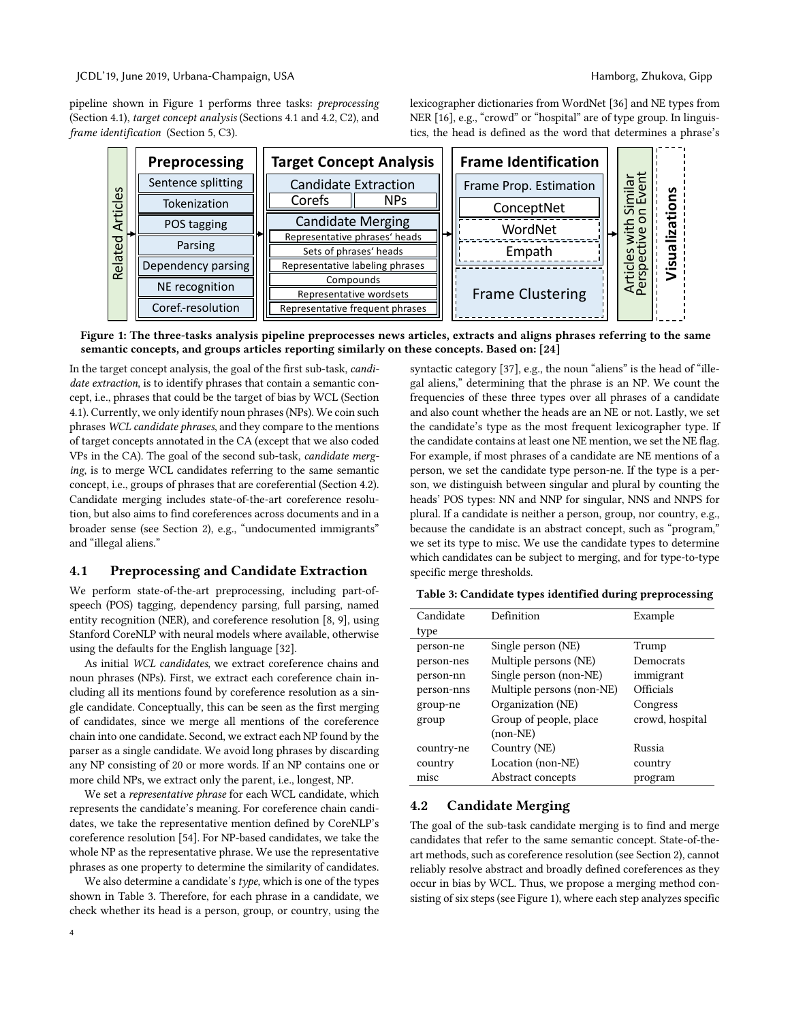#### JCDL'19, June 2019, Urbana-Champaign, USA Hamborg, Zhukova, Gipp

Coref.-resolution

Related Articles

**Related Articles** 

pipeline shown in Figure 1 performs three tasks: *preprocessing*  (Section 4.1), *target concept analysis* (Sections 4.1 and 4.2, C2), and *frame identificat* 

| tion (Section 5, C3). | tics, the head is defined as the word that determines a phrase's |                             |                         |  |  |  |  |
|-----------------------|------------------------------------------------------------------|-----------------------------|-------------------------|--|--|--|--|
| Preprocessing         | <b>Target Concept Analysis</b>                                   | <b>Frame Identification</b> |                         |  |  |  |  |
| Sentence splitting    | <b>Candidate Extraction</b>                                      | Frame Prop. Estimation      | lar<br>ent<br>S         |  |  |  |  |
| Tokenization          | Corefs<br><b>NPs</b>                                             | ConceptNet                  | 들고<br>ທັ⊂<br>o<br>._    |  |  |  |  |
| POS tagging           | <b>Candidate Merging</b>                                         | WordNet                     | $\sim$<br>ത<br>N        |  |  |  |  |
| Parsing               | Representative phrases' heads                                    |                             | vitl<br>tive            |  |  |  |  |
|                       | Sets of phrases' heads                                           | Empath                      | ത                       |  |  |  |  |
| Dependency parsing    | Representative labeling phrases                                  |                             | S<br>$\Omega$<br>$\cup$ |  |  |  |  |
|                       | Compounds                                                        |                             | <b>April</b>            |  |  |  |  |
| NE recognition        | Representative wordsets                                          | <b>Frame Clustering</b>     |                         |  |  |  |  |

Figure 1: The three-tasks analysis pipeline preprocesses news articles, extracts and aligns phrases referring to the same semantic concepts, and groups articles reporting similarly on these concepts. Based on: [24]

Representative frequent phrases

In the target concept analysis, the goal of the first sub-task, *candidate extraction*, is to identify phrases that contain a semantic concept, i.e., phrases that could be the target of bias by WCL (Section 4.1). Currently, we only identify noun phrases(NPs). We coin such phrases *WCL candidate phrases*, and they compare to the mentions of target concepts annotated in the CA (except that we also coded VPs in the CA). The goal of the second sub-task, *candidate merging*, is to merge WCL candidates referring to the same semantic concept, i.e., groups of phrases that are coreferential (Section 4.2). Candidate merging includes state-of-the-art coreference resolution, but also aims to find coreferences across documents and in a broader sense (see Section 2), e.g., "undocumented immigrants" and "illegal aliens."

## 4.1 Preprocessing and Candidate Extraction

We perform state-of-the-art preprocessing, including part-ofspeech (POS) tagging, dependency parsing, full parsing, named entity recognition (NER), and coreference resolution [8, 9], using Stanford CoreNLP with neural models where available, otherwise using the defaults for the English language [32].

As initial *WCL candidates*, we extract coreference chains and noun phrases (NPs). First, we extract each coreference chain including all its mentions found by coreference resolution as a single candidate. Conceptually, this can be seen as the first merging of candidates, since we merge all mentions of the coreference chain into one candidate. Second, we extract each NP found by the parser as a single candidate. We avoid long phrases by discarding any NP consisting of 20 or more words. If an NP contains one or more child NPs, we extract only the parent, i.e., longest, NP.

We set a *representative phrase* for each WCL candidate, which represents the candidate's meaning. For coreference chain candidates, we take the representative mention defined by CoreNLP's coreference resolution [54]. For NP-based candidates, we take the whole NP as the representative phrase. We use the representative phrases as one property to determine the similarity of candidates.

We also determine a candidate's *type*, which is one of the types shown in Table 3. Therefore, for each phrase in a candidate, we check whether its head is a person, group, or country, using the syntactic category [37], e.g., the noun "aliens" is the head of "illegal aliens," determining that the phrase is an NP. We count the frequencies of these three types over all phrases of a candidate and also count whether the heads are an NE or not. Lastly, we set the candidate's type as the most frequent lexicographer type. If the candidate contains at least one NE mention, we set the NE flag. For example, if most phrases of a candidate are NE mentions of a person, we set the candidate type person-ne. If the type is a person, we distinguish between singular and plural by counting the heads' POS types: NN and NNP for singular, NNS and NNPS for plural. If a candidate is neither a person, group, nor country, e.g., because the candidate is an abstract concept, such as "program," we set its type to misc. We use the candidate types to determine which candidates can be subject to merging, and for type-to-type specific merge thresholds.

lexicographer dictionaries from WordNet [36] and NE types from NER [16], e.g., "crowd" or "hospital" are of type group. In linguis-

Table 3: Candidate types identified during preprocessing

| Candidate  | Definition                | Example         |
|------------|---------------------------|-----------------|
| type       |                           |                 |
| person-ne  | Single person (NE)        | Trump           |
| person-nes | Multiple persons (NE)     | Democrats       |
| person-nn  | Single person (non-NE)    | immigrant       |
| person-nns | Multiple persons (non-NE) | Officials       |
| group-ne   | Organization (NE)         | Congress        |
| group      | Group of people, place    | crowd, hospital |
|            | $(non-NE)$                |                 |
| country-ne | Country (NE)              | Russia          |
| country    | Location (non-NE)         | country         |
| misc       | Abstract concepts         | program         |

# 4.2 Candidate Merging

The goal of the sub-task candidate merging is to find and merge candidates that refer to the same semantic concept. State-of-theart methods, such as coreference resolution (see Section 2), cannot reliably resolve abstract and broadly defined coreferences as they occur in bias by WCL. Thus, we propose a merging method consisting of six steps(see Figure 1), where each step analyzes specific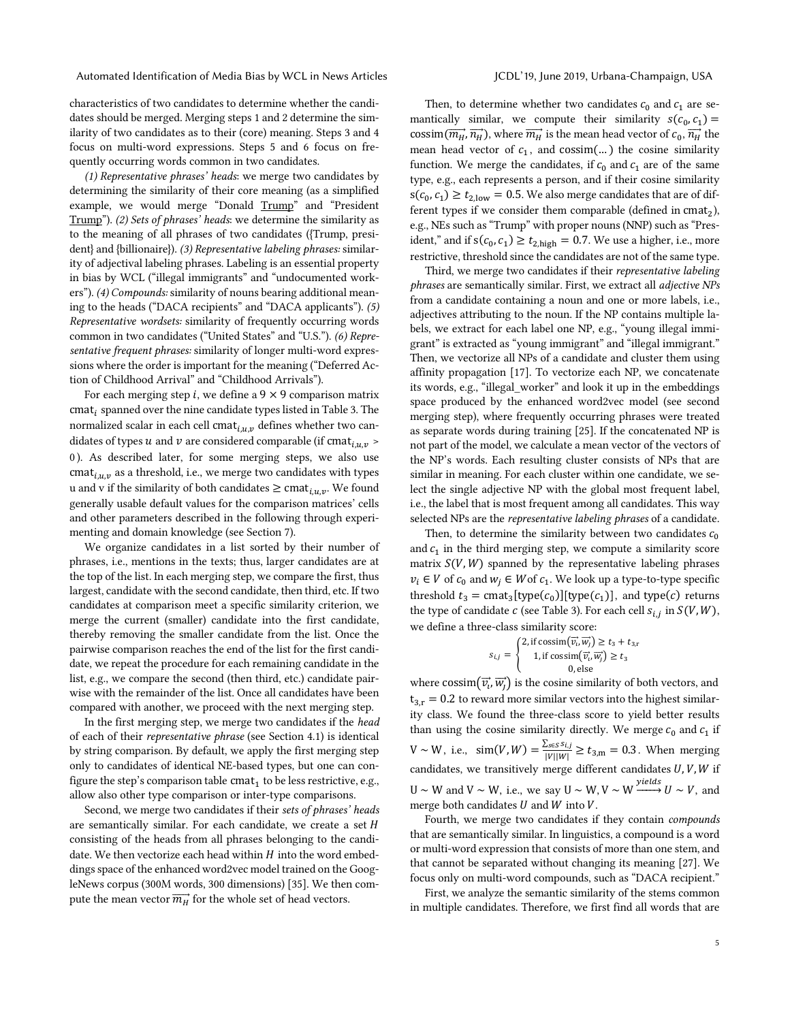characteristics of two candidates to determine whether the candidates should be merged. Merging steps 1 and 2 determine the similarity of two candidates as to their (core) meaning. Steps 3 and 4 focus on multi-word expressions. Steps 5 and 6 focus on frequently occurring words common in two candidates.

*(1) Representative phrases' heads*: we merge two candidates by determining the similarity of their core meaning (as a simplified example, we would merge "Donald Trump" and "President Trump"). *(2) Sets of phrases' heads*: we determine the similarity as to the meaning of all phrases of two candidates ({Trump, president} and {billionaire}). *(3) Representative labeling phrases:* similarity of adjectival labeling phrases. Labeling is an essential property in bias by WCL ("illegal immigrants" and "undocumented workers"). *(4) Compounds:* similarity of nouns bearing additional meaning to the heads ("DACA recipients" and "DACA applicants"). *(5) Representative wordsets:* similarity of frequently occurring words common in two candidates ("United States" and "U.S."). *(6) Representative frequent phrases:* similarity of longer multi-word expressions where the order is important for the meaning ("Deferred Action of Childhood Arrival" and "Childhood Arrivals").

For each merging step *i*, we define a  $9 \times 9$  comparison matrix  $cmat_i$  spanned over the nine candidate types listed in Table 3. The normalized scalar in each cell  $\operatorname{cmat}_{i,u,v}$  defines whether two candidates of types u and v are considered comparable (if cmat<sub>iuv</sub> > 0 ). As described later, for some merging steps, we also use cmat<sub>i,u,v</sub> as a threshold, i.e., we merge two candidates with types u and v if the similarity of both candidates  $\geq$  cmat<sub>i,u,v</sub>. We found generally usable default values for the comparison matrices' cells and other parameters described in the following through experimenting and domain knowledge (see Section 7).

We organize candidates in a list sorted by their number of phrases, i.e., mentions in the texts; thus, larger candidates are at the top of the list. In each merging step, we compare the first, thus largest, candidate with the second candidate, then third, etc. If two candidates at comparison meet a specific similarity criterion, we merge the current (smaller) candidate into the first candidate, thereby removing the smaller candidate from the list. Once the pairwise comparison reaches the end of the list for the first candidate, we repeat the procedure for each remaining candidate in the list, e.g., we compare the second (then third, etc.) candidate pairwise with the remainder of the list. Once all candidates have been compared with another, we proceed with the next merging step.

In the first merging step, we merge two candidates if the *head*  of each of their *representative phrase* (see Section 4.1) is identical by string comparison. By default, we apply the first merging step only to candidates of identical NE-based types, but one can configure the step's comparison table  $cmat<sub>1</sub>$  to be less restrictive, e.g., allow also other type comparison or inter-type comparisons.

Second, we merge two candidates if their *sets of phrases' heads* are semantically similar. For each candidate, we create a set  $H$ consisting of the heads from all phrases belonging to the candidate. We then vectorize each head within  $H$  into the word embeddings space of the enhanced word2vec model trained on the GoogleNews corpus (300M words, 300 dimensions) [35]. We then compute the mean vector  $\overrightarrow{m_H}$  for the whole set of head vectors.

Then, to determine whether two candidates  $c_0$  and  $c_1$  are semantically similar, we compute their similarity  $s(c_0, c_1)$  = cossim $(\overrightarrow{m_H}, \overrightarrow{n_H})$ , where  $\overrightarrow{m_H}$  is the mean head vector of  $c_0$ ,  $\overrightarrow{n_H}$  the mean head vector of  $c_1$ , and cossim(...) the cosine similarity function. We merge the candidates, if  $c_0$  and  $c_1$  are of the same type, e.g., each represents a person, and if their cosine similarity  $s(c_0, c_1) \ge t_{2,low} = 0.5$ . We also merge candidates that are of different types if we consider them comparable (defined in  $cmat<sub>2</sub>$ ), e.g., NEs such as "Trump" with proper nouns (NNP) such as "President," and if  $s(c_0, c_1) \ge t_{2, \text{high}} = 0.7$ . We use a higher, i.e., more restrictive, threshold since the candidates are not of the same type.

Third, we merge two candidates if their *representative labeling phrases* are semantically similar. First, we extract all *adjective NPs* from a candidate containing a noun and one or more labels, i.e., adjectives attributing to the noun. If the NP contains multiple labels, we extract for each label one NP, e.g., "young illegal immigrant" is extracted as "young immigrant" and "illegal immigrant." Then, we vectorize all NPs of a candidate and cluster them using affinity propagation [17]. To vectorize each NP, we concatenate its words, e.g., "illegal\_worker" and look it up in the embeddings space produced by the enhanced word2vec model (see second merging step), where frequently occurring phrases were treated as separate words during training [25]. If the concatenated NP is not part of the model, we calculate a mean vector of the vectors of the NP's words. Each resulting cluster consists of NPs that are similar in meaning. For each cluster within one candidate, we select the single adjective NP with the global most frequent label, i.e., the label that is most frequent among all candidates. This way selected NPs are the *representative labeling phrases* of a candidate.

Then, to determine the similarity between two candidates  $c_0$ and  $c_1$  in the third merging step, we compute a similarity score matrix  $S(V, W)$  spanned by the representative labeling phrases  $v_i \in V$  of  $c_0$  and  $w_i \in W$  of  $c_1$ . We look up a type-to-type specific threshold  $t_3 = \text{cmat}_3[\text{type}(c_0)][\text{type}(c_1)]$ , and type(c) returns the type of candidate  $c$  (see Table 3). For each cell  $s_{i,j}$  in  $S(V, W)$ , we define a three-class similarity score:

$$
s_{i,j} = \begin{cases} 2, \text{if } \text{cossim}(\overrightarrow{v_i}, \overrightarrow{w_j}) \ge t_3 + t_{3,r} \\ 1, \text{if } \text{cossim}(\overrightarrow{v_i}, \overrightarrow{w_j}) \ge t_3 \\ 0, \text{else} \end{cases}
$$

where  $\cos\left(\vec{v}_i, \vec{w}_i\right)$  is the cosine similarity of both vectors, and  $t_{3r} = 0.2$  to reward more similar vectors into the highest similarity class. We found the three-class score to yield better results than using the cosine similarity directly. We merge  $c_0$  and  $c_1$  if  $V \sim W$ , i.e., sim $(V, W) = \frac{\sum_{s \in S} s_{i,j}}{|V||W|} \ge t_{3,m} = 0.3$ . When merging candidates, we transitively merge different candidates  $U, V, W$  if U ∼ W and V ∼ W, i.e., we say U ∼ W, V ~ W  $\xrightarrow{yields} U \sim V$ , and merge both candidates  $U$  and  $W$  into  $V$ .

Fourth, we merge two candidates if they contain *compounds* that are semantically similar. In linguistics, a compound is a word or multi-word expression that consists of more than one stem, and that cannot be separated without changing its meaning [27]. We focus only on multi-word compounds, such as "DACA recipient."

First, we analyze the semantic similarity of the stems common in multiple candidates. Therefore, we first find all words that are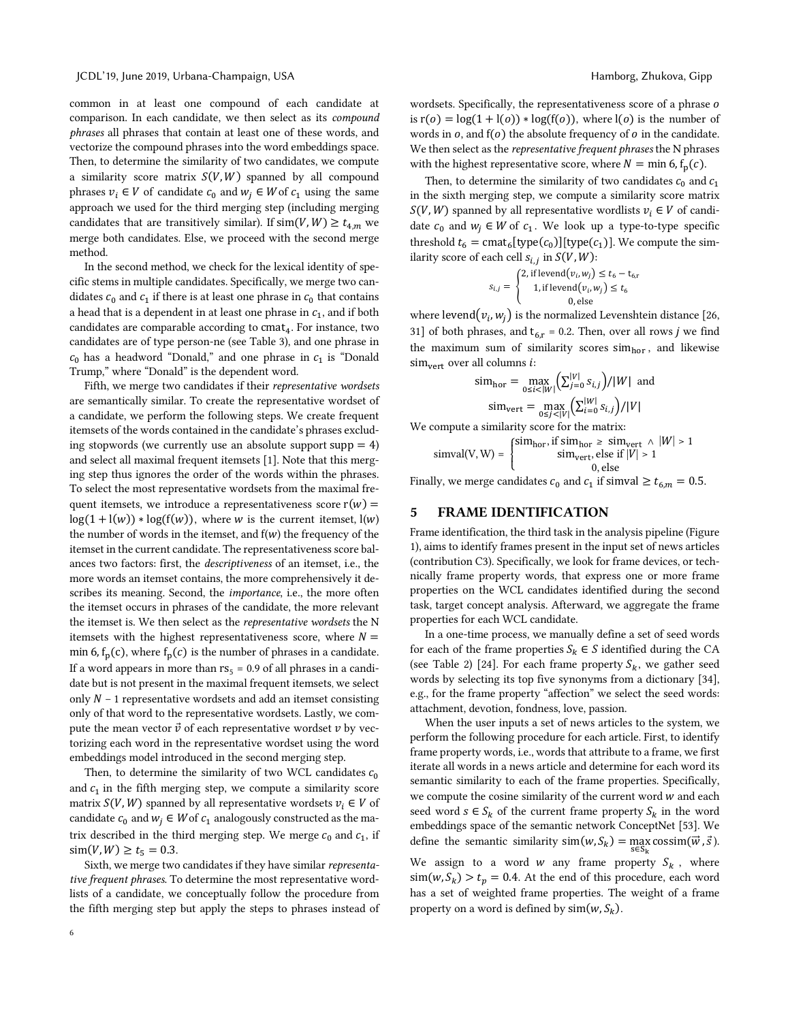common in at least one compound of each candidate at comparison. In each candidate, we then select as its *compound phrases* all phrases that contain at least one of these words, and vectorize the compound phrases into the word embeddings space. Then, to determine the similarity of two candidates, we compute a similarity score matrix  $S(V, W)$  spanned by all compound phrases  $v_i \in V$  of candidate  $c_0$  and  $w_i \in W$  of  $c_1$  using the same approach we used for the third merging step (including merging candidates that are transitively similar). If  $\text{sim}(V, W) \ge t_{4,m}$  we merge both candidates. Else, we proceed with the second merge method.

In the second method, we check for the lexical identity of specific stems in multiple candidates. Specifically, we merge two candidates  $c_0$  and  $c_1$  if there is at least one phrase in  $c_0$  that contains a head that is a dependent in at least one phrase in  $c_1$ , and if both candidates are comparable according to  $cmat<sub>4</sub>$ . For instance, two candidates are of type person-ne (see Table 3), and one phrase in  $c_0$  has a headword "Donald," and one phrase in  $c_1$  is "Donald" Trump," where "Donald" is the dependent word.

Fifth, we merge two candidates if their *representative wordsets* are semantically similar. To create the representative wordset of a candidate, we perform the following steps. We create frequent itemsets of the words contained in the candidate's phrases excluding stopwords (we currently use an absolute support supp  $= 4$ ) and select all maximal frequent itemsets [1]. Note that this merging step thus ignores the order of the words within the phrases. To select the most representative wordsets from the maximal frequent itemsets, we introduce a representativeness score  $r(w)$  =  $log(1 + l(w)) * log(f(w))$ , where w is the current itemset,  $l(w)$ the number of words in the itemset, and  $f(w)$  the frequency of the itemset in the current candidate. The representativeness score balances two factors: first, the *descriptiveness* of an itemset, i.e., the more words an itemset contains, the more comprehensively it describes its meaning. Second, the *importance*, i.e., the more often the itemset occurs in phrases of the candidate, the more relevant the itemset is. We then select as the *representative wordsets* the N itemsets with the highest representativeness score, where  $N =$ min 6,  $f_p(c)$ , where  $f_p(c)$  is the number of phrases in a candidate. If a word appears in more than  $rs<sub>5</sub> = 0.9$  of all phrases in a candidate but is not present in the maximal frequent itemsets, we select only  $N - 1$  representative wordsets and add an itemset consisting only of that word to the representative wordsets. Lastly, we compute the mean vector  $\vec{v}$  of each representative wordset  $v$  by vectorizing each word in the representative wordset using the word embeddings model introduced in the second merging step.

Then, to determine the similarity of two WCL candidates  $c_0$ and  $c_1$  in the fifth merging step, we compute a similarity score matrix  $S(V, W)$  spanned by all representative wordsets  $v_i \in V$  of candidate  $c_0$  and  $w_i \in W$  of  $c_1$  analogously constructed as the matrix described in the third merging step. We merge  $c_0$  and  $c_1$ , if  $\text{sim}(V, W) \ge t_5 = 0.3.$ 

Sixth, we merge two candidates if they have similar *representative frequent phrases*. To determine the most representative wordlists of a candidate, we conceptually follow the procedure from the fifth merging step but apply the steps to phrases instead of wordsets. Specifically, the representativeness score of a phrase  $o$ is  $r(o) = log(1 + l(o)) * log(f(o))$ , where  $l(o)$  is the number of words in  $o$ , and  $f(o)$  the absolute frequency of  $o$  in the candidate. We then select as the *representative frequent phrases* the N phrases with the highest representative score, where  $N = \min 6, f_p(c)$ .

Then, to determine the similarity of two candidates  $c_0$  and  $c_1$ in the sixth merging step, we compute a similarity score matrix  $S(V, W)$  spanned by all representative wordlists  $v_i \in V$  of candidate  $c_0$  and  $w_i \in W$  of  $c_1$ . We look up a type-to-type specific threshold  $t_6 = \text{cmat}_6[\text{type}(c_0)][\text{type}(c_1)]$ . We compute the similarity score of each cell  $s_{i,i}$  in  $S(V, W)$ :

$$
s_{i,j} = \begin{cases} 2, \text{ if level}(v_i, w_j) \le t_6 - t_{6,r} \\ 1, \text{ if level}(v_i, w_j) \le t_6 \\ 0, \text{ else} \end{cases}
$$

where levend $(v_i, w_i)$  is the normalized Levenshtein distance [26, 31] of both phrases, and  $t_{6,r}$  = 0.2. Then, over all rows *j* we find the maximum sum of similarity scores  $sim<sub>hor</sub>$ , and likewise  $\text{sim}_{\text{vert}}$  over all columns *i*:

$$
\text{sim}_{\text{hor}} = \max_{0 \le i < |W|} \left( \sum_{j=0}^{|V|} s_{i,j} \right) / |W| \text{ and}
$$
\n
$$
\text{sim}_{\text{vert}} = \max_{0 \le j < |V|} \left( \sum_{i=0}^{|W|} s_{i,j} \right) / |V|
$$

We compute a similarity score for the matrix:

$$
simval(V, W) = \begin{cases} sim_{hor}, if \, sim_{hor} \geq \, sim_{vert} \land \, |W| > 1 \\ & \, sim_{vert}, \, else \, if \, |V| > 1 \\ & \, 0, \, else \end{cases}
$$

Finally, we merge candidates  $c_0$  and  $c_1$  if simval  $\ge t_{6,m} = 0.5$ .

## 5 FRAME IDENTIFICATION

Frame identification, the third task in the analysis pipeline (Figure 1), aims to identify frames present in the input set of news articles (contribution C3). Specifically, we look for frame devices, or technically frame property words, that express one or more frame properties on the WCL candidates identified during the second task, target concept analysis. Afterward, we aggregate the frame properties for each WCL candidate.

In a one-time process, we manually define a set of seed words for each of the frame properties  $S_k \in S$  identified during the CA (see Table 2) [24]. For each frame property  $S_k$ , we gather seed words by selecting its top five synonyms from a dictionary [34], e.g., for the frame property "affection" we select the seed words: attachment, devotion, fondness, love, passion.

When the user inputs a set of news articles to the system, we perform the following procedure for each article. First, to identify frame property words, i.e., words that attribute to a frame, we first iterate all words in a news article and determine for each word its semantic similarity to each of the frame properties. Specifically, we compute the cosine similarity of the current word  $w$  and each seed word  $s \in S_k$  of the current frame property  $S_k$  in the word embeddings space of the semantic network ConceptNet [53]. We define the semantic similarity  $\text{sim}(w, S_k) = \max_{s \in S_k} \text{cossim}(\vec{w}, \vec{s}).$ 

We assign to a word  $w$  any frame property  $S_k$ , where  $\sin(w, S_k) > t_p = 0.4$ . At the end of this procedure, each word has a set of weighted frame properties. The weight of a frame property on a word is defined by  $sim(w, S_k)$ .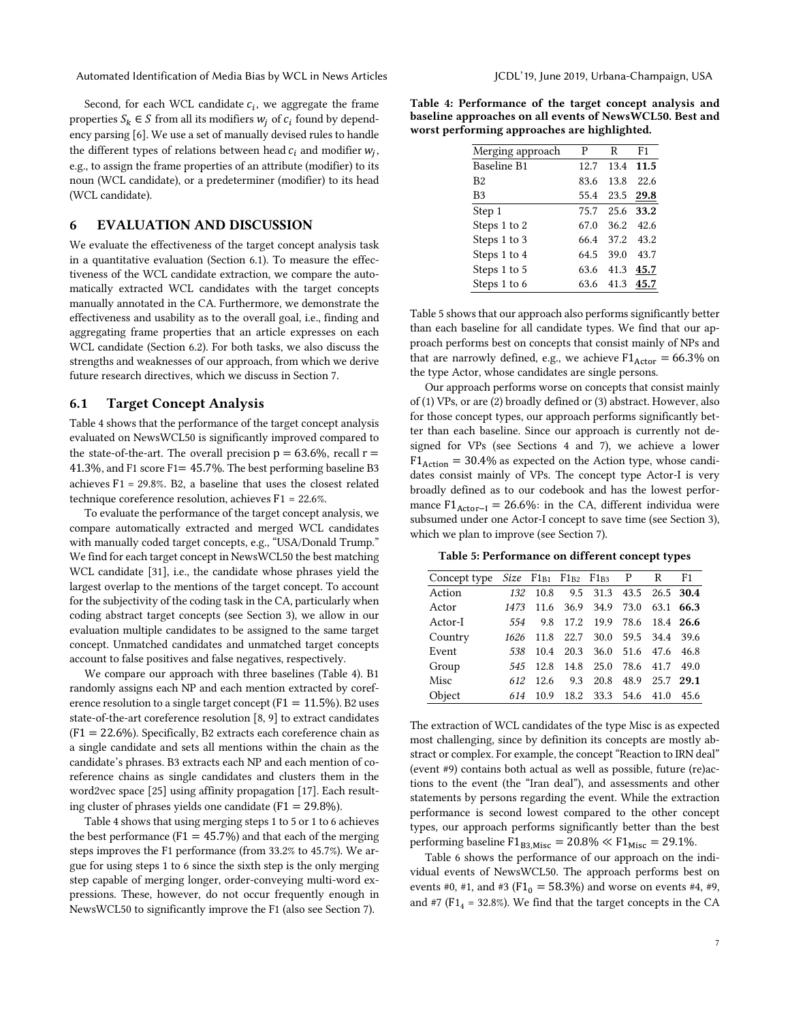Second, for each WCL candidate  $c_i$ , we aggregate the frame properties  $S_k \in S$  from all its modifiers  $W_i$  of  $c_i$  found by dependency parsing [6]. We use a set of manually devised rules to handle the different types of relations between head  $c_i$  and modifier  $w_i$ , e.g., to assign the frame properties of an attribute (modifier) to its noun (WCL candidate), or a predeterminer (modifier) to its head (WCL candidate).

## 6 EVALUATION AND DISCUSSION

We evaluate the effectiveness of the target concept analysis task in a quantitative evaluation (Section 6.1). To measure the effectiveness of the WCL candidate extraction, we compare the automatically extracted WCL candidates with the target concepts manually annotated in the CA. Furthermore, we demonstrate the effectiveness and usability as to the overall goal, i.e., finding and aggregating frame properties that an article expresses on each WCL candidate (Section 6.2). For both tasks, we also discuss the strengths and weaknesses of our approach, from which we derive future research directives, which we discuss in Section 7.

## 6.1 Target Concept Analysis

Table 4 shows that the performance of the target concept analysis evaluated on NewsWCL50 is significantly improved compared to the state-of-the-art. The overall precision  $p = 63.6\%$ , recall  $r =$ 41.3%, and F1 score F1= 45.7%. The best performing baseline B3 achieves F1 = 29.8%. B2, a baseline that uses the closest related technique coreference resolution, achieves F1 = 22.6%.

To evaluate the performance of the target concept analysis, we compare automatically extracted and merged WCL candidates with manually coded target concepts, e.g., "USA/Donald Trump." We find for each target concept in NewsWCL50 the best matching WCL candidate [31], i.e., the candidate whose phrases yield the largest overlap to the mentions of the target concept. To account for the subjectivity of the coding task in the CA, particularly when coding abstract target concepts (see Section 3), we allow in our evaluation multiple candidates to be assigned to the same target concept. Unmatched candidates and unmatched target concepts account to false positives and false negatives, respectively.

We compare our approach with three baselines (Table 4). B1 randomly assigns each NP and each mention extracted by coreference resolution to a single target concept ( $F1 = 11.5\%$ ). B2 uses state-of-the-art coreference resolution [8, 9] to extract candidates  $(F1 = 22.6\%)$ . Specifically, B2 extracts each coreference chain as a single candidate and sets all mentions within the chain as the candidate's phrases. B3 extracts each NP and each mention of coreference chains as single candidates and clusters them in the word2vec space [25] using affinity propagation [17]. Each resulting cluster of phrases yields one candidate ( $F1 = 29.8\%$ ).

Table 4 shows that using merging steps 1 to 5 or 1 to 6 achieves the best performance ( $F1 = 45.7\%$ ) and that each of the merging steps improves the F1 performance (from 33.2% to 45.7%). We argue for using steps 1 to 6 since the sixth step is the only merging step capable of merging longer, order-conveying multi-word expressions. These, however, do not occur frequently enough in NewsWCL50 to significantly improve the F1 (also see Section 7).

Table 4: Performance of the target concept analysis and baseline approaches on all events of NewsWCL50. Best and worst performing approaches are highlighted.

| Merging approach   | P    | R    | F1   |
|--------------------|------|------|------|
| <b>Baseline B1</b> | 12.7 | 13.4 | 11.5 |
| B <sub>2</sub>     | 83.6 | 13.8 | 22.6 |
| B3                 | 55.4 | 23.5 | 29.8 |
| Step 1             | 75.7 | 25.6 | 33.2 |
| Steps 1 to 2       | 67.0 | 36.2 | 42.6 |
| Steps 1 to 3       | 66.4 | 37.2 | 43.2 |
| Steps 1 to 4       | 64.5 | 39.0 | 43.7 |
| Steps 1 to 5       | 63.6 | 41.3 | 45.7 |
| Steps 1 to 6       | 63.6 | 41.3 | 45.7 |

Table 5 shows that our approach also performs significantly better than each baseline for all candidate types. We find that our approach performs best on concepts that consist mainly of NPs and that are narrowly defined, e.g., we achieve  $F1_{\text{Actor}} = 66.3\%$  on the type Actor, whose candidates are single persons.

Our approach performs worse on concepts that consist mainly of (1) VPs, or are (2) broadly defined or (3) abstract. However, also for those concept types, our approach performs significantly better than each baseline. Since our approach is currently not designed for VPs (see Sections 4 and 7), we achieve a lower  $F1_{Action} = 30.4\%$  as expected on the Action type, whose candidates consist mainly of VPs. The concept type Actor-I is very broadly defined as to our codebook and has the lowest performance  $F1_{\text{Actor}-I} = 26.6\%$ : in the CA, different individua were subsumed under one Actor-I concept to save time (see Section 3), which we plan to improve (see Section 7).

Table 5: Performance on different concept types

| Concept type |      |      |      | $Size$ $F1_{B1}$ $F1_{B2}$ $F1_{B3}$ $P$ |                | R              | F1        |
|--------------|------|------|------|------------------------------------------|----------------|----------------|-----------|
| Action       | 132  | 10.8 |      | 9.5 31.3                                 |                | 43.5 26.5 30.4 |           |
| Actor        | 1473 | 11.6 |      | 36.9 34.9 73.0                           |                |                | 63.1 66.3 |
| Actor-I      | 554  | 9.8  |      | 17.2 19.9 78.6                           |                |                | 18.4 26.6 |
| Country      | 1626 | 11.8 | 22.7 |                                          | 30.0 59.5 34.4 |                | 39.6      |
| Event        | 538  | 10.4 |      | 20.3 36.0 51.6                           |                | 47.6           | 46.8      |
| Group        | 545  | 12.8 | 14.8 | 25.0                                     | 78.6           | 41.7           | 49.0      |
| Misc         | 612  | 12.6 | 9.3  | 20.8                                     | 48.9           | 25.7           | 29.1      |
| Object       | 614  | 10.9 | 18.2 | 33.3                                     | 54.6           | 41.0           | 45.6      |

The extraction of WCL candidates of the type Misc is as expected most challenging, since by definition its concepts are mostly abstract or complex. For example, the concept "Reaction to IRN deal" (event #9) contains both actual as well as possible, future (re)actions to the event (the "Iran deal"), and assessments and other statements by persons regarding the event. While the extraction performance is second lowest compared to the other concept types, our approach performs significantly better than the best performing baseline  $\text{F1}_{\text{B3,Misc}} = 20.8\% \ll \text{F1}_{\text{Misc}} = 29.1\%.$ 

Table 6 shows the performance of our approach on the individual events of NewsWCL50. The approach performs best on events #0, #1, and #3 ( $F1_0 = 58.3\%$ ) and worse on events #4, #9, and #7 ( $F1_4$  = 32.8%). We find that the target concepts in the CA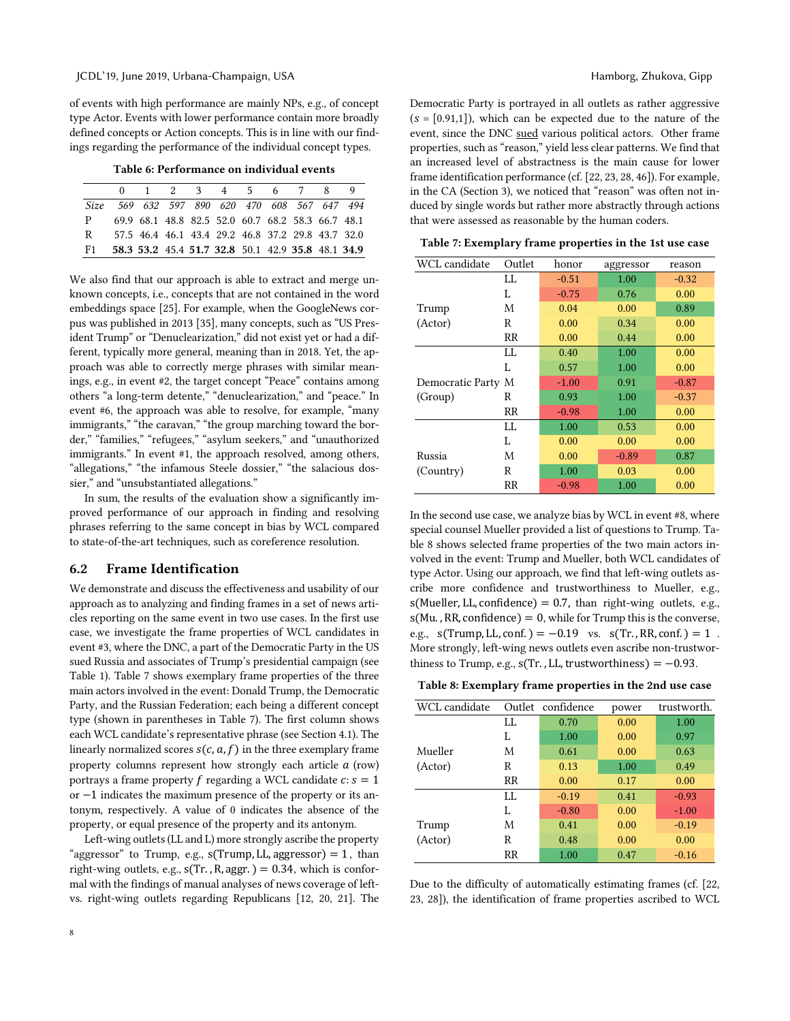of events with high performance are mainly NPs, e.g., of concept type Actor. Events with lower performance contain more broadly defined concepts or Action concepts. This is in line with our findings regarding the performance of the individual concept types.

Table 6: Performance on individual events

|      |                                              |  |  |  | 0 1 2 3 4 5 6 7 8 9                               |  |
|------|----------------------------------------------|--|--|--|---------------------------------------------------|--|
|      | Size 569 632 597 890 620 470 608 567 647 494 |  |  |  |                                                   |  |
| P.   |                                              |  |  |  | 69.9 68.1 48.8 82.5 52.0 60.7 68.2 58.3 66.7 48.1 |  |
| R    |                                              |  |  |  | 57.5 46.4 46.1 43.4 29.2 46.8 37.2 29.8 43.7 32.0 |  |
| - F1 |                                              |  |  |  | 58.3 53.2 45.4 51.7 32.8 50.1 42.9 35.8 48.1 34.9 |  |

We also find that our approach is able to extract and merge unknown concepts, i.e., concepts that are not contained in the word embeddings space [25]. For example, when the GoogleNews corpus was published in 2013 [35], many concepts, such as "US President Trump" or "Denuclearization," did not exist yet or had a different, typically more general, meaning than in 2018. Yet, the approach was able to correctly merge phrases with similar meanings, e.g., in event #2, the target concept "Peace" contains among others "a long-term detente," "denuclearization," and "peace." In event #6, the approach was able to resolve, for example, "many immigrants," "the caravan," "the group marching toward the border," "families," "refugees," "asylum seekers," and "unauthorized immigrants." In event #1, the approach resolved, among others, "allegations," "the infamous Steele dossier," "the salacious dossier," and "unsubstantiated allegations."

In sum, the results of the evaluation show a significantly improved performance of our approach in finding and resolving phrases referring to the same concept in bias by WCL compared to state-of-the-art techniques, such as coreference resolution.

## 6.2 Frame Identification

We demonstrate and discuss the effectiveness and usability of our approach as to analyzing and finding frames in a set of news articles reporting on the same event in two use cases. In the first use case, we investigate the frame properties of WCL candidates in event #3, where the DNC, a part of the Democratic Party in the US sued Russia and associates of Trump's presidential campaign (see Table 1). Table 7 shows exemplary frame properties of the three main actors involved in the event: Donald Trump, the Democratic Party, and the Russian Federation; each being a different concept type (shown in parentheses in Table 7). The first column shows each WCL candidate's representative phrase (see Section 4.1). The linearly normalized scores  $s(c, a, f)$  in the three exemplary frame property columns represent how strongly each article  $a$  (row) portrays a frame property f regarding a WCL candidate  $c: s = 1$ or −1 indicates the maximum presence of the property or its antonym, respectively. A value of 0 indicates the absence of the property, or equal presence of the property and its antonym.

Left-wing outlets (LL and L) more strongly ascribe the property "aggressor" to Trump, e.g.,  $s(Trump, LL, \text{aggression}) = 1$ , than right-wing outlets, e.g.,  $s(Tr.$ ,  $R$ ,  $aggr.$ ) = 0.34, which is conformal with the findings of manual analyses of news coverage of leftvs. right-wing outlets regarding Republicans [12, 20, 21]. The Democratic Party is portrayed in all outlets as rather aggressive  $(s = [0.91,1])$ , which can be expected due to the nature of the event, since the DNC sued various political actors. Other frame properties, such as "reason," yield less clear patterns. We find that an increased level of abstractness is the main cause for lower frame identification performance (cf. [22, 23, 28, 46]). For example, in the CA (Section 3), we noticed that "reason" was often not induced by single words but rather more abstractly through actions that were assessed as reasonable by the human coders.

Table 7: Exemplary frame properties in the 1st use case

| WCL candidate      | Outlet | honor   | aggressor | reason  |
|--------------------|--------|---------|-----------|---------|
|                    | LL.    | $-0.51$ | 1.00      | $-0.32$ |
|                    | L      | $-0.75$ | 0.76      | 0.00    |
| Trump              | M      | 0.04    | 0.00      | 0.89    |
| (Actor)            | R      | 0.00    | 0.34      | 0.00    |
|                    | RR     | 0.00    | 0.44      | 0.00    |
|                    | LL.    | 0.40    | 1.00      | 0.00    |
|                    | L      | 0.57    | 1.00      | 0.00    |
| Democratic Party M |        | $-1.00$ | 0.91      | $-0.87$ |
| (Group)            | R      | 0.93    | 1.00      | $-0.37$ |
|                    | RR     | $-0.98$ | 1.00      | 0.00    |
|                    | LL.    | 1.00    | 0.53      | 0.00    |
|                    | L      | 0.00    | 0.00      | 0.00    |
| Russia             | M      | 0.00    | $-0.89$   | 0.87    |
| (Country)          | R      | 1.00    | 0.03      | 0.00    |
|                    | RR     | $-0.98$ | 1.00      | 0.00    |

In the second use case, we analyze bias by WCL in event #8, where special counsel Mueller provided a list of questions to Trump. Table 8 shows selected frame properties of the two main actors involved in the event: Trump and Mueller, both WCL candidates of type Actor. Using our approach, we find that left-wing outlets ascribe more confidence and trustworthiness to Mueller, e.g.,  $s$ (Mueller, LL, confidence) = 0.7, than right-wing outlets, e.g.,  $s(Mu.$ , RR, confidence) = 0, while for Trump this is the converse, e.g.,  $s(Trump, LL, conf.) = -0.19$  vs.  $s(Tr., RR, conf.) = 1$ . More strongly, left-wing news outlets even ascribe non-trustworthiness to Trump, e.g.,  $s(Tr, LL, trustworthiness) = -0.93$ .

Table 8: Exemplary frame properties in the 2nd use case

| WCL candidate | Outlet  | confidence | power | trustworth. |
|---------------|---------|------------|-------|-------------|
|               | LL.     | 0.70       | 0.00  | 1.00        |
|               | L       | 1.00       | 0.00  | 0.97        |
| Mueller       | M       | 0.61       | 0.00  | 0.63        |
| (Actor)       | R       | 0.13       | 1.00  | 0.49        |
|               | $_{RR}$ | 0.00       | 0.17  | 0.00        |
|               | LL.     | $-0.19$    | 0.41  | $-0.93$     |
|               | L       | $-0.80$    | 0.00  | $-1.00$     |
| Trump         | M       | 0.41       | 0.00  | $-0.19$     |
| (Actor)       | R       | 0.48       | 0.00  | 0.00        |
|               | RR      | 1.00       | 0.47  | $-0.16$     |

Due to the difficulty of automatically estimating frames (cf. [22, 23, 28]), the identification of frame properties ascribed to WCL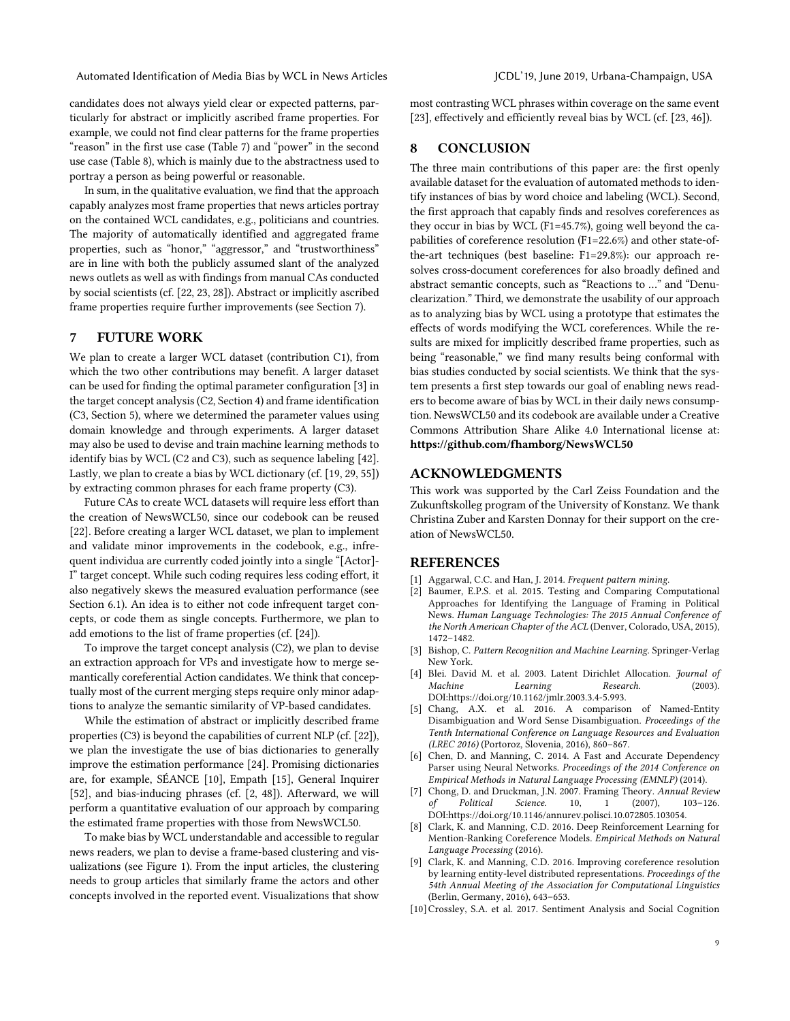candidates does not always yield clear or expected patterns, particularly for abstract or implicitly ascribed frame properties. For example, we could not find clear patterns for the frame properties "reason" in the first use case (Table 7) and "power" in the second use case (Table 8), which is mainly due to the abstractness used to portray a person as being powerful or reasonable.

In sum, in the qualitative evaluation, we find that the approach capably analyzes most frame properties that news articles portray on the contained WCL candidates, e.g., politicians and countries. The majority of automatically identified and aggregated frame properties, such as "honor," "aggressor," and "trustworthiness" are in line with both the publicly assumed slant of the analyzed news outlets as well as with findings from manual CAs conducted by social scientists (cf. [22, 23, 28]). Abstract or implicitly ascribed frame properties require further improvements (see Section 7).

## 7 FUTURE WORK

We plan to create a larger WCL dataset (contribution C1), from which the two other contributions may benefit. A larger dataset can be used for finding the optimal parameter configuration [3] in the target concept analysis (C2, Section 4) and frame identification (C3, Section 5), where we determined the parameter values using domain knowledge and through experiments. A larger dataset may also be used to devise and train machine learning methods to identify bias by WCL (C2 and C3), such as sequence labeling [42]. Lastly, we plan to create a bias by WCL dictionary (cf. [19, 29, 55]) by extracting common phrases for each frame property (C3).

Future CAs to create WCL datasets will require less effort than the creation of NewsWCL50, since our codebook can be reused [22]. Before creating a larger WCL dataset, we plan to implement and validate minor improvements in the codebook, e.g., infrequent individua are currently coded jointly into a single "[Actor]- I" target concept. While such coding requires less coding effort, it also negatively skews the measured evaluation performance (see Section 6.1). An idea is to either not code infrequent target concepts, or code them as single concepts. Furthermore, we plan to add emotions to the list of frame properties (cf. [24]).

To improve the target concept analysis (C2), we plan to devise an extraction approach for VPs and investigate how to merge semantically coreferential Action candidates. We think that conceptually most of the current merging steps require only minor adaptions to analyze the semantic similarity of VP-based candidates.

While the estimation of abstract or implicitly described frame properties (C3) is beyond the capabilities of current NLP (cf. [22]), we plan the investigate the use of bias dictionaries to generally improve the estimation performance [24]. Promising dictionaries are, for example, SÉANCE [10], Empath [15], General Inquirer [52], and bias-inducing phrases (cf. [2, 48]). Afterward, we will perform a quantitative evaluation of our approach by comparing the estimated frame properties with those from NewsWCL50.

To make bias by WCL understandable and accessible to regular news readers, we plan to devise a frame-based clustering and visualizations (see Figure 1). From the input articles, the clustering needs to group articles that similarly frame the actors and other concepts involved in the reported event. Visualizations that show most contrasting WCL phrases within coverage on the same event [23], effectively and efficiently reveal bias by WCL (cf. [23, 46]).

# 8 CONCLUSION

The three main contributions of this paper are: the first openly available dataset for the evaluation of automated methods to identify instances of bias by word choice and labeling (WCL). Second, the first approach that capably finds and resolves coreferences as they occur in bias by WCL (F1=45.7%), going well beyond the capabilities of coreference resolution (F1=22.6%) and other state-ofthe-art techniques (best baseline: F1=29.8%): our approach resolves cross-document coreferences for also broadly defined and abstract semantic concepts, such as "Reactions to …" and "Denuclearization." Third, we demonstrate the usability of our approach as to analyzing bias by WCL using a prototype that estimates the effects of words modifying the WCL coreferences. While the results are mixed for implicitly described frame properties, such as being "reasonable," we find many results being conformal with bias studies conducted by social scientists. We think that the system presents a first step towards our goal of enabling news readers to become aware of bias by WCL in their daily news consumption. NewsWCL50 and its codebook are available under a Creative Commons Attribution Share Alike 4.0 International license at: https://github.com/fhamborg/NewsWCL50

# ACKNOWLEDGMENTS

This work was supported by the Carl Zeiss Foundation and the Zukunftskolleg program of the University of Konstanz. We thank Christina Zuber and Karsten Donnay for their support on the creation of NewsWCL50.

# **REFERENCES**

- [1] Aggarwal, C.C. and Han, J. 2014. *Frequent pattern mining*.
- [2] Baumer, E.P.S. et al. 2015. Testing and Comparing Computational Approaches for Identifying the Language of Framing in Political News. *Human Language Technologies: The 2015 Annual Conference of the North American Chapter of the ACL* (Denver, Colorado, USA, 2015), 1472–1482.
- [3] Bishop, C. *Pattern Recognition and Machine Learning*. Springer-Verlag New York.
- [4] Blei. David M. et al. 2003. Latent Dirichlet Allocation. *Journal of Machine Learning Research*. (2003). DOI:https://doi.org/10.1162/jmlr.2003.3.4-5.993.
- [5] Chang, A.X. et al. 2016. A comparison of Named-Entity Disambiguation and Word Sense Disambiguation. *Proceedings of the Tenth International Conference on Language Resources and Evaluation (LREC 2016)* (Portoroz, Slovenia, 2016), 860–867.
- [6] Chen, D. and Manning, C. 2014. A Fast and Accurate Dependency Parser using Neural Networks. *Proceedings of the 2014 Conference on Empirical Methods in Natural Language Processing (EMNLP)* (2014).
- [7] Chong, D. and Druckman, J.N. 2007. Framing Theory. *Annual Review of Political Science*. 10, 1 (2007), 103–126. DOI:https://doi.org/10.1146/annurev.polisci.10.072805.103054.
- [8] Clark, K. and Manning, C.D. 2016. Deep Reinforcement Learning for Mention-Ranking Coreference Models. *Empirical Methods on Natural Language Processing* (2016).
- [9] Clark, K. and Manning, C.D. 2016. Improving coreference resolution by learning entity-level distributed representations. *Proceedings of the 54th Annual Meeting of the Association for Computational Linguistics* (Berlin, Germany, 2016), 643–653.
- [10]Crossley, S.A. et al. 2017. Sentiment Analysis and Social Cognition